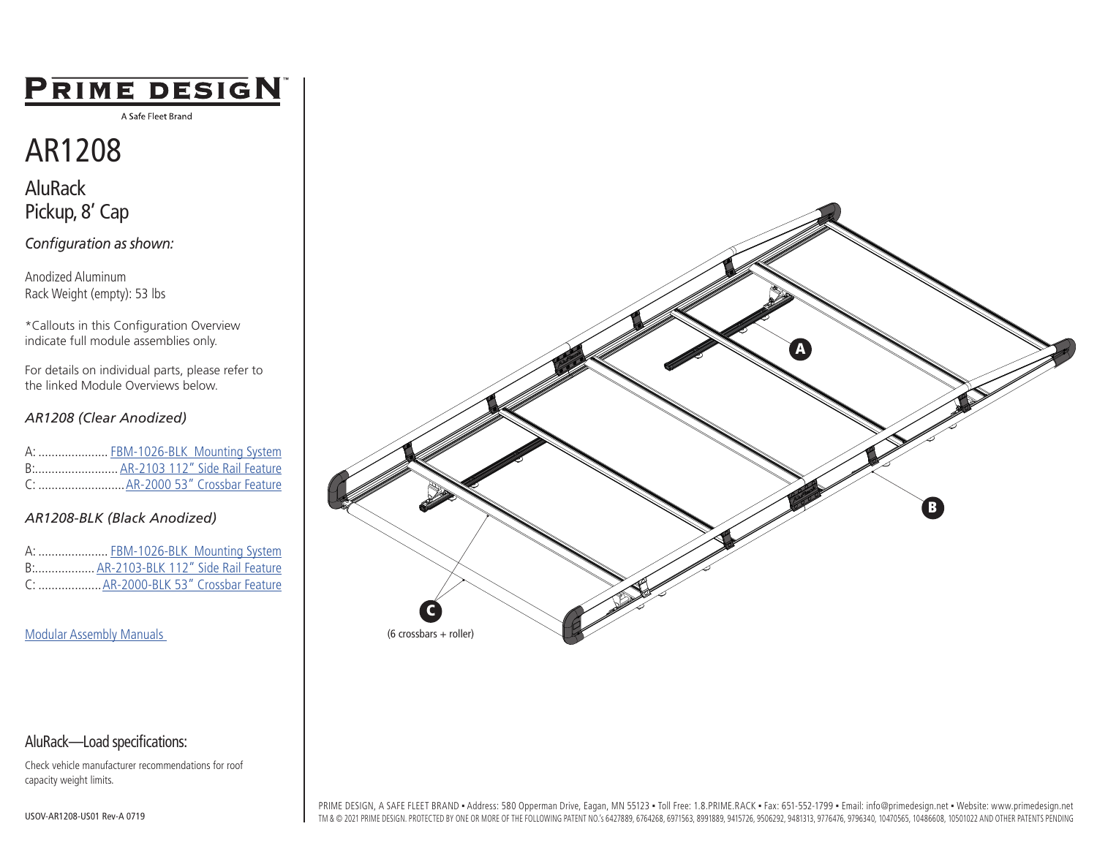## **PRIME DESIGN**

A Safe Fleet Brand

# AR1208

AluRack Pickup, 8' Cap

*Configuration as shown:*

Anodized Aluminum Rack Weight (empty): 53 lbs

\*Callouts in this Configuration Overview indicate full module assemblies only.

For details on individual parts, please refer to the linked Module Overviews below.

#### *AR1208 (Clear Anodized)*

|  | A:  FBM-1026-BLK Mounting System |
|--|----------------------------------|
|  | B AR-2103 112" Side Rail Feature |
|  |                                  |

#### *[AR1208-BLK \(Black Anodized\)](https://www.primedesign.net/?wpdmdl=13995)*

A: ....................... [FBM-1026-BLK Mounting System](https://www.primedesign.net/?wpdmdl=13995) B:.................. [AR-2103-BLK 112" Side Rail Feature](https://www.primedesign.net/?wpdmdl=13995) C: [...................AR-2000-BLK 53" Crossbar Feature](https://www.primedesign.net/?wpdmdl=13995)

[Modular Assembly Manuals](https://www.primedesign.net/document-library/#modular-overviews-tab) 



#### AluRack—Load specifications:

Check vehicle manufacturer recommendations for roof capacity weight limits.